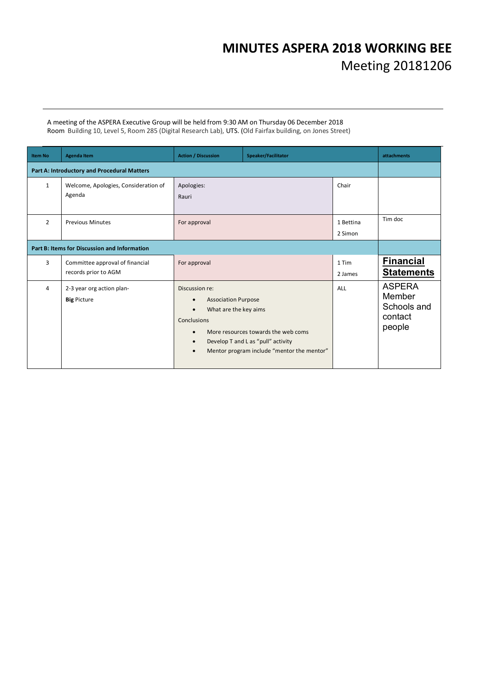# **MINUTES ASPERA 2018 WORKING BEE**  Meeting 20181206

A meeting of the ASPERA Executive Group will be held from 9:30 AM on Thursday 06 December 2018 Room Building 10, Level 5, Room 285 (Digital Research Lab), UTS. (Old Fairfax building, on Jones Street)

| <b>Item No</b>                               | <b>Agenda Item</b>                                      | <b>Action / Discussion</b><br>Speaker/Facilitator                                                                                        |                                                                                                                         | attachments          |                                                             |
|----------------------------------------------|---------------------------------------------------------|------------------------------------------------------------------------------------------------------------------------------------------|-------------------------------------------------------------------------------------------------------------------------|----------------------|-------------------------------------------------------------|
|                                              | Part A: Introductory and Procedural Matters             |                                                                                                                                          |                                                                                                                         |                      |                                                             |
| $\mathbf{1}$                                 | Welcome, Apologies, Consideration of<br>Agenda          | Apologies:<br>Rauri                                                                                                                      |                                                                                                                         | Chair                |                                                             |
| $\overline{2}$                               | <b>Previous Minutes</b>                                 | For approval                                                                                                                             |                                                                                                                         | 1 Bettina<br>2 Simon | Tim doc                                                     |
| Part B: Items for Discussion and Information |                                                         |                                                                                                                                          |                                                                                                                         |                      |                                                             |
| 3                                            | Committee approval of financial<br>records prior to AGM | For approval                                                                                                                             |                                                                                                                         | 1 Tim<br>2 James     | <b>Financial</b><br><b>Statements</b>                       |
| 4                                            | 2-3 year org action plan-<br><b>Big Picture</b>         | Discussion re:<br><b>Association Purpose</b><br>What are the key aims<br>$\bullet$<br>Conclusions<br>$\bullet$<br>$\bullet$<br>$\bullet$ | More resources towards the web coms<br>Develop T and L as "pull" activity<br>Mentor program include "mentor the mentor" | ALL                  | <b>ASPERA</b><br>Member<br>Schools and<br>contact<br>people |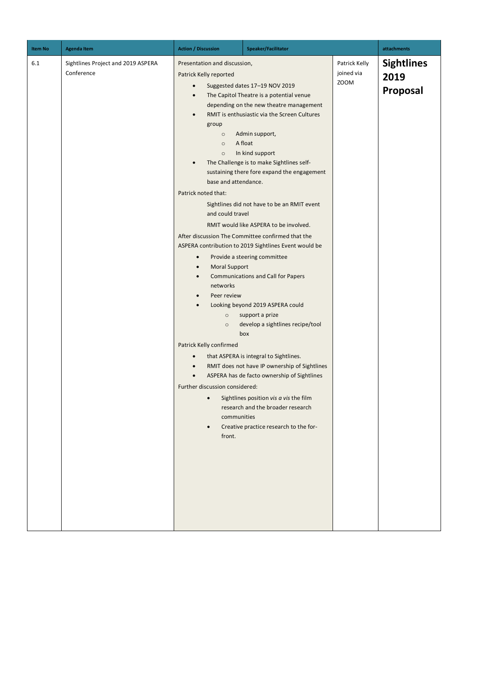| <b>Item No</b> | <b>Agenda Item</b>                               | <b>Action / Discussion</b>                                                                                                                                                                                                                                                                                                                                                                                                    | Speaker/Facilitator                                                                                                                                                                                                                                                                                                                                                                                                                                                                                                                                                                                                                                                                                                                                                                                                                                                                                                                                                        |                                            | attachments                           |
|----------------|--------------------------------------------------|-------------------------------------------------------------------------------------------------------------------------------------------------------------------------------------------------------------------------------------------------------------------------------------------------------------------------------------------------------------------------------------------------------------------------------|----------------------------------------------------------------------------------------------------------------------------------------------------------------------------------------------------------------------------------------------------------------------------------------------------------------------------------------------------------------------------------------------------------------------------------------------------------------------------------------------------------------------------------------------------------------------------------------------------------------------------------------------------------------------------------------------------------------------------------------------------------------------------------------------------------------------------------------------------------------------------------------------------------------------------------------------------------------------------|--------------------------------------------|---------------------------------------|
| 6.1            | Sightlines Project and 2019 ASPERA<br>Conference | Presentation and discussion,<br>Patrick Kelly reported<br>$\bullet$<br>$\bullet$<br>group<br>$\circ$<br>$\circ$<br>$\circ$<br>$\bullet$<br>base and attendance.<br>Patrick noted that:<br>and could travel<br><b>Moral Support</b><br>networks<br>Peer review<br>$\circ$<br>$\circ$<br>Patrick Kelly confirmed<br>$\bullet$<br>$\bullet$<br>$\bullet$<br>Further discussion considered:<br>$\bullet$<br>communities<br>front. | Suggested dates 17-19 NOV 2019<br>The Capitol Theatre is a potential venue<br>depending on the new theatre management<br>RMIT is enthusiastic via the Screen Cultures<br>Admin support,<br>A float<br>In kind support<br>The Challenge is to make Sightlines self-<br>sustaining there fore expand the engagement<br>Sightlines did not have to be an RMIT event<br>RMIT would like ASPERA to be involved.<br>After discussion The Committee confirmed that the<br>ASPERA contribution to 2019 Sightlines Event would be<br>Provide a steering committee<br><b>Communications and Call for Papers</b><br>Looking beyond 2019 ASPERA could<br>support a prize<br>develop a sightlines recipe/tool<br>box<br>that ASPERA is integral to Sightlines.<br>RMIT does not have IP ownership of Sightlines<br>ASPERA has de facto ownership of Sightlines<br>Sightlines position vis a vis the film<br>research and the broader research<br>Creative practice research to the for- | Patrick Kelly<br>joined via<br><b>ZOOM</b> | <b>Sightlines</b><br>2019<br>Proposal |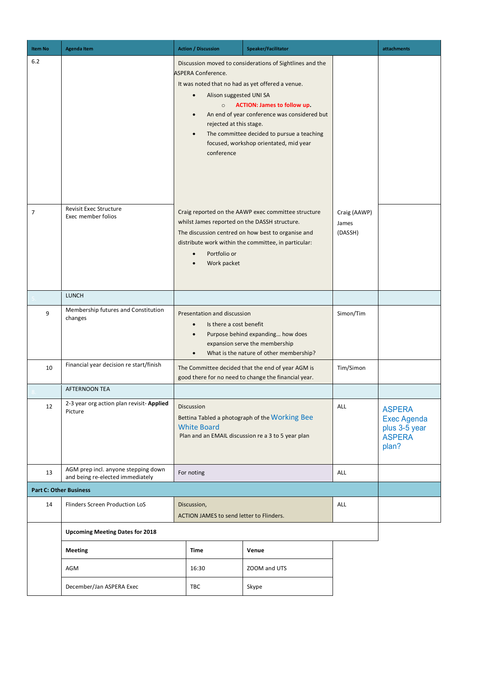| <b>Item No</b> | <b>Agenda Item</b>                                                      | <b>Action / Discussion</b>                                                                                                                                                | Speaker/Facilitator                                                                                                                                                                                                                    |                                  | attachments                                                                    |
|----------------|-------------------------------------------------------------------------|---------------------------------------------------------------------------------------------------------------------------------------------------------------------------|----------------------------------------------------------------------------------------------------------------------------------------------------------------------------------------------------------------------------------------|----------------------------------|--------------------------------------------------------------------------------|
| 6.2            |                                                                         | <b>ASPERA Conference.</b><br>It was noted that no had as yet offered a venue.<br>Alison suggested UNI SA<br>$\bullet$<br>$\circ$<br>rejected at this stage.<br>conference | Discussion moved to considerations of Sightlines and the<br><b>ACTION: James to follow up.</b><br>An end of year conference was considered but<br>The committee decided to pursue a teaching<br>focused, workshop orientated, mid year |                                  |                                                                                |
| $\overline{7}$ | <b>Revisit Exec Structure</b><br>Exec member folios                     | whilst James reported on the DASSH structure.<br>Portfolio or<br>Work packet                                                                                              | Craig reported on the AAWP exec committee structure<br>The discussion centred on how best to organise and<br>distribute work within the committee, in particular:                                                                      | Craig (AAWP)<br>James<br>(DASSH) |                                                                                |
|                | <b>LUNCH</b>                                                            |                                                                                                                                                                           |                                                                                                                                                                                                                                        |                                  |                                                                                |
| 9              | Membership futures and Constitution<br>changes                          | Presentation and discussion<br>Is there a cost benefit<br>$\bullet$                                                                                                       | Purpose behind expanding how does<br>expansion serve the membership<br>What is the nature of other membership?                                                                                                                         | Simon/Tim                        |                                                                                |
| 10             | Financial year decision re start/finish                                 |                                                                                                                                                                           | The Committee decided that the end of year AGM is<br>good there for no need to change the financial year.                                                                                                                              | Tim/Simon                        |                                                                                |
|                | <b>AFTERNOON TEA</b>                                                    |                                                                                                                                                                           |                                                                                                                                                                                                                                        |                                  |                                                                                |
| 12             | 2-3 year org action plan revisit- Applied<br>Picture                    | Discussion<br>Bettina Tabled a photograph of the Working Bee<br><b>White Board</b><br>Plan and an EMAIL discussion re a 3 to 5 year plan                                  |                                                                                                                                                                                                                                        | ALL                              | <b>ASPERA</b><br><b>Exec Agenda</b><br>plus 3-5 year<br><b>ASPERA</b><br>plan? |
| 13             | AGM prep incl. anyone stepping down<br>and being re-elected immediately | For noting                                                                                                                                                                |                                                                                                                                                                                                                                        | ALL                              |                                                                                |
|                | <b>Part C: Other Business</b>                                           |                                                                                                                                                                           |                                                                                                                                                                                                                                        |                                  |                                                                                |
| 14             | Flinders Screen Production LoS                                          | Discussion,<br>ACTION JAMES to send letter to Flinders.                                                                                                                   |                                                                                                                                                                                                                                        | ALL                              |                                                                                |
|                | <b>Upcoming Meeting Dates for 2018</b>                                  |                                                                                                                                                                           |                                                                                                                                                                                                                                        |                                  |                                                                                |
|                | <b>Meeting</b>                                                          | Time                                                                                                                                                                      | Venue                                                                                                                                                                                                                                  |                                  |                                                                                |
|                | AGM                                                                     | 16:30                                                                                                                                                                     | ZOOM and UTS                                                                                                                                                                                                                           |                                  |                                                                                |
|                | December/Jan ASPERA Exec                                                | TBC                                                                                                                                                                       | Skype                                                                                                                                                                                                                                  |                                  |                                                                                |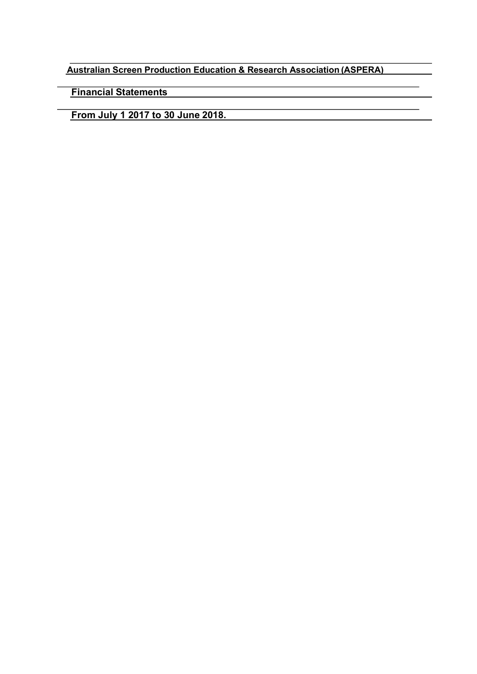**Australian Screen Production Education & Research Association (ASPERA)**

**Financial Statements**

**From July 1 2017 to 30 June 2018.**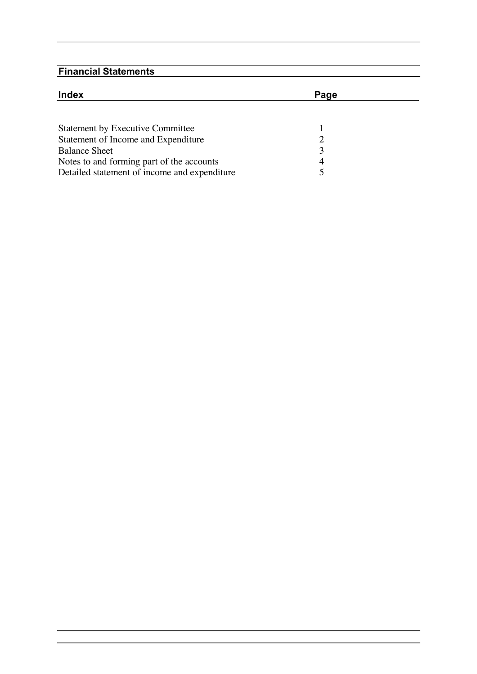| <b>Index</b>                                                                              | Page |  |
|-------------------------------------------------------------------------------------------|------|--|
| <b>Statement by Executive Committee</b>                                                   |      |  |
| Statement of Income and Expenditure<br><b>Balance Sheet</b>                               | 3    |  |
| Notes to and forming part of the accounts<br>Detailed statement of income and expenditure | 4    |  |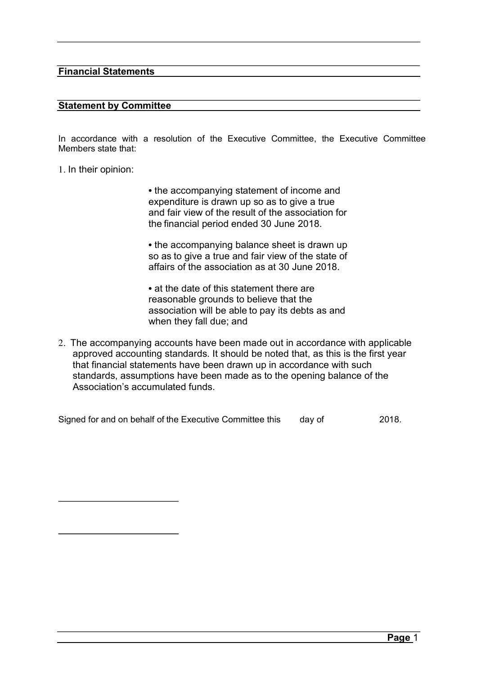#### **Statement by Committee**

In accordance with a resolution of the Executive Committee, the Executive Committee Members state that:

1. In their opinion:

• the accompanying statement of income and expenditure is drawn up so as to give a true and fair view of the result of the association for the financial period ended 30 June 2018.

• the accompanying balance sheet is drawn up so as to give a true and fair view of the state of affairs of the association as at 30 June 2018.

• at the date of this statement there are reasonable grounds to believe that the association will be able to pay its debts as and when they fall due; and

2. The accompanying accounts have been made out in accordance with applicable approved accounting standards. It should be noted that, as this is the first year that financial statements have been drawn up in accordance with such standards, assumptions have been made as to the opening balance of the Association's accumulated funds.

Signed for and on behalf of the Executive Committee this day of 2018.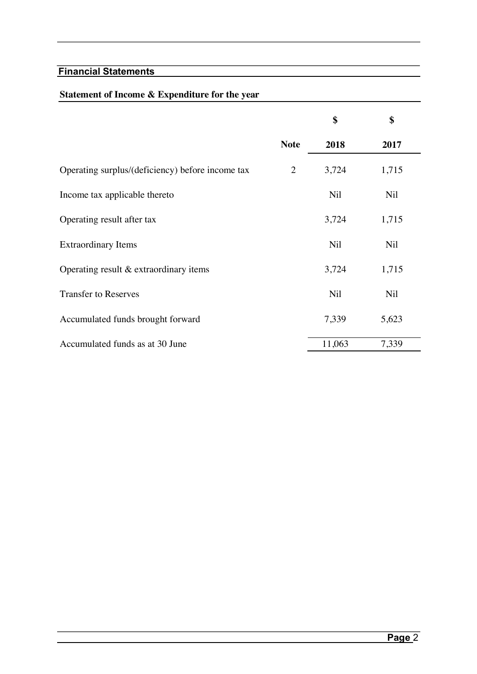### **Statement of Income & Expenditure for the year**

|                                                  |             | \$         | \$         |
|--------------------------------------------------|-------------|------------|------------|
|                                                  | <b>Note</b> | 2018       | 2017       |
| Operating surplus/(deficiency) before income tax | 2           | 3,724      | 1,715      |
| Income tax applicable thereto                    |             | <b>Nil</b> | <b>Nil</b> |
| Operating result after tax                       |             | 3,724      | 1,715      |
| <b>Extraordinary Items</b>                       |             | <b>Nil</b> | <b>Nil</b> |
| Operating result $&$ extraordinary items         |             | 3,724      | 1,715      |
| <b>Transfer to Reserves</b>                      |             | <b>Nil</b> | Nil        |
| Accumulated funds brought forward                |             | 7,339      | 5,623      |
| Accumulated funds as at 30 June                  |             | 11,063     | 7,339      |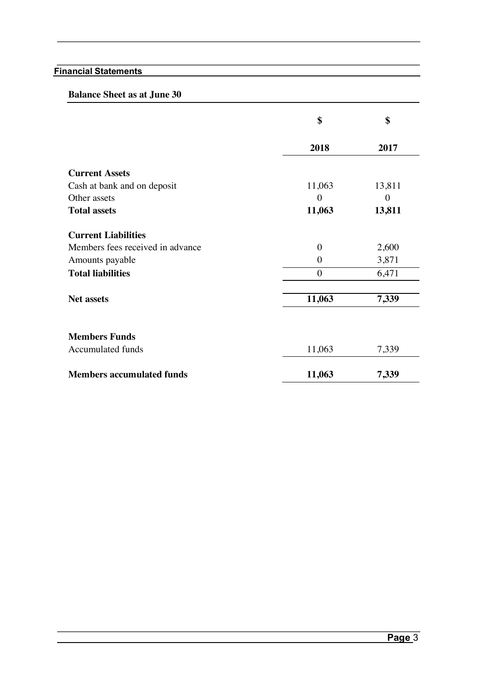#### **Balance Sheet as at June 30**

|                                  | \$             | \$       |
|----------------------------------|----------------|----------|
|                                  | 2018           | 2017     |
| <b>Current Assets</b>            |                |          |
| Cash at bank and on deposit      | 11,063         | 13,811   |
| Other assets                     | $\theta$       | $\theta$ |
| <b>Total assets</b>              | 11,063         | 13,811   |
| <b>Current Liabilities</b>       |                |          |
| Members fees received in advance | $\theta$       | 2,600    |
| Amounts payable                  | $\overline{0}$ | 3,871    |
| <b>Total liabilities</b>         | $\overline{0}$ | 6,471    |
| <b>Net assets</b>                | 11,063         | 7,339    |
| <b>Members Funds</b>             |                |          |
| Accumulated funds                | 11,063         | 7,339    |
| <b>Members accumulated funds</b> | 11,063         | 7,339    |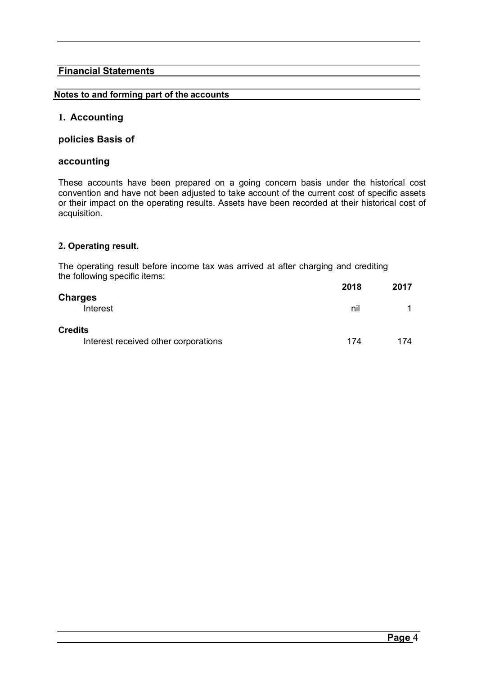#### **Notes to and forming part of the accounts**

#### **1. Accounting**

#### **policies Basis of**

#### **accounting**

These accounts have been prepared on a going concern basis under the historical cost convention and have not been adjusted to take account of the current cost of specific assets or their impact on the operating results. Assets have been recorded at their historical cost of acquisition.

#### **2. Operating result.**

The operating result before income tax was arrived at after charging and crediting the following specific items:

|                                                        | 2018 | 2017 |
|--------------------------------------------------------|------|------|
| <b>Charges</b><br>Interest                             | nil  |      |
| <b>Credits</b><br>Interest received other corporations | 174  | 174  |